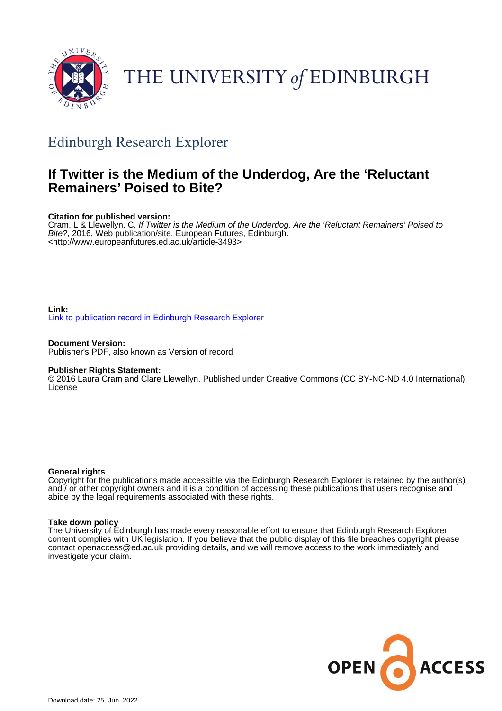

# THE UNIVERSITY of EDINBURGH

### Edinburgh Research Explorer

#### **If Twitter is the Medium of the Underdog, Are the 'Reluctant Remainers' Poised to Bite?**

#### **Citation for published version:**

Cram, L & Llewellyn, C, If Twitter is the Medium of the Underdog, Are the 'Reluctant Remainers' Poised to Bite?, 2016, Web publication/site, European Futures, Edinburgh. <[http://www.europeanfutures.ed.ac.uk/article-3493>](http://www.europeanfutures.ed.ac.uk/article-3493)

#### **Link:**

[Link to publication record in Edinburgh Research Explorer](https://www.research.ed.ac.uk/en/publications/a90aee5b-b5cd-43c1-8158-2d6e8f77a735)

**Document Version:** Publisher's PDF, also known as Version of record

#### **Publisher Rights Statement:**

© 2016 Laura Cram and Clare Llewellyn. Published under Creative Commons (CC BY-NC-ND 4.0 International) License

#### **General rights**

Copyright for the publications made accessible via the Edinburgh Research Explorer is retained by the author(s) and / or other copyright owners and it is a condition of accessing these publications that users recognise and abide by the legal requirements associated with these rights.

#### **Take down policy**

The University of Edinburgh has made every reasonable effort to ensure that Edinburgh Research Explorer content complies with UK legislation. If you believe that the public display of this file breaches copyright please contact openaccess@ed.ac.uk providing details, and we will remove access to the work immediately and investigate your claim.

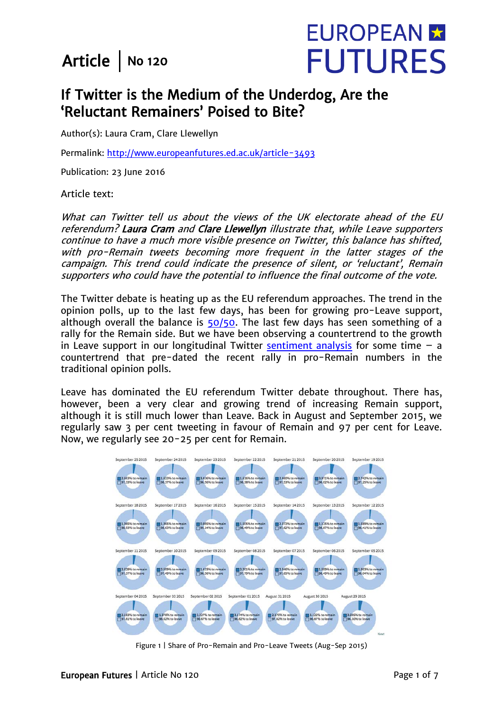### Article  $\vert$  No 120



#### If Twitter is the Medium of the Underdog, Are the 'Reluctant Remainers' Poised to Bite?

Author(s): Laura Cram, Clare Llewellyn

Permalink: http://www.europeanfutures.ed.ac.uk/article-3493

Publication: 23 June 2016

Article text:

What can Twitter tell us about the views of the UK electorate ahead of the EU referendum? Laura Cram and Clare Llewellyn illustrate that, while Leave supporters continue to have a much more visible presence on Twitter, this balance has shifted, with pro-Remain tweets becoming more frequent in the latter stages of the campaign. This trend could indicate the presence of silent, or 'reluctant', Remain supporters who could have the potential to influence the final outcome of the vote.

The Twitter debate is heating up as the EU referendum approaches. The trend in the opinion polls, up to the last few days, has been for growing pro-Leave support, although overall the balance is  $50/50$ . The last few days has seen something of a rally for the Remain side. But we have been observing a countertrend to the growth in Leave support in our longitudinal Twitter [sentiment analysis](http://blogs.sps.ed.ac.uk/neuropolitics/2016/01/06/uk-eu-twitter-sentiment-analysis-an-analysis-of-the-sentiment-in-the-twittersphere-towards-the-uk-leaving-or-remaining-in-the-eu) for some time  $-$  a countertrend that pre-dated the recent rally in pro-Remain numbers in the traditional opinion polls.

Leave has dominated the EU referendum Twitter debate throughout. There has, however, been a very clear and growing trend of increasing Remain support, although it is still much lower than Leave. Back in August and September 2015, we regularly saw 3 per cent tweeting in favour of Remain and 97 per cent for Leave. Now, we regularly see 20-25 per cent for Remain.



Figure 1 | Share of Pro-Remain and Pro-Leave Tweets (Aug-Sep 2015)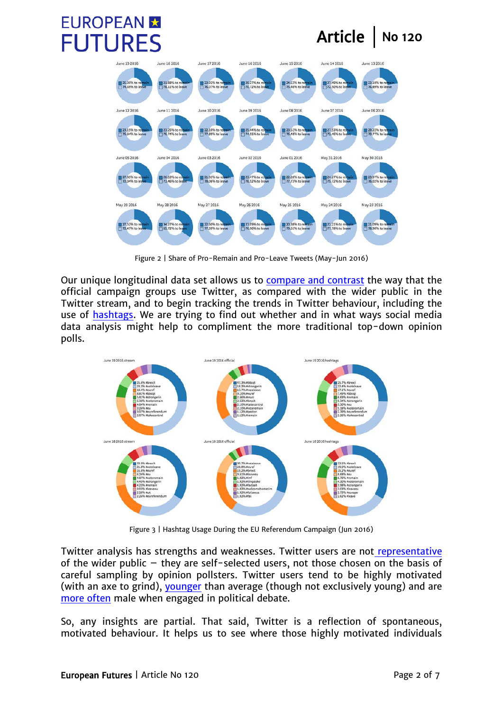

Article  $\vert$  No 120



Figure 2 | Share of Pro-Remain and Pro-Leave Tweets (May-Jun 2016)

Our unique longitudinal data set allows us to [compare and contrast](http://www.pol.ed.ac.uk/neuropoliticsresearch/sections/remote_content) the way that the official campaign groups use Twitter, as compared with the wider public in the Twitter stream, and to begin tracking the trends in Twitter behaviour, including the use of [hashtags.](http://www.europeanfutures.ed.ac.uk/article-2186) We are trying to find out whether and in what ways social media data analysis might help to compliment the more traditional top-down opinion polls.



Figure 3 | Hashtag Usage During the EU Referendum Campaign (Jun 2016)

Twitter analysis has strengths and weaknesses. Twitter users are not [representative](http://ssc.sagepub.com/content/early/2014/11/27/0894439314558836.full.pdf+html) of the wider public – they are self-selected users, not those chosen on the basis of careful sampling by opinion pollsters. Twitter users tend to be highly motivated (with an axe to grind), [younger](http://journals.plos.org/plosone/article?id=10.1371/journal.pone.0115545) than average (though not exclusively young) and are [more often](http://www.bbc.co.uk/news/blogs-trending-32137886) male when engaged in political debate.

So, any insights are partial. That said, Twitter is a reflection of spontaneous, motivated behaviour. It helps us to see where those highly motivated individuals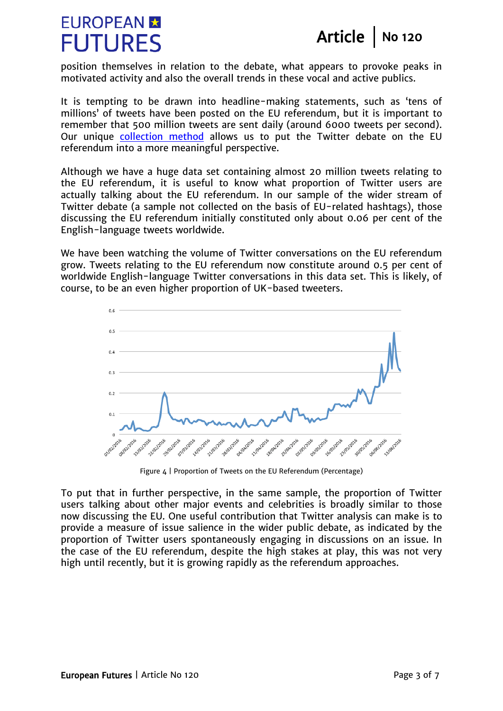# **EUROPEAN M FUTURES**

Article | No 120

position themselves in relation to the debate, what appears to provoke peaks in motivated activity and also the overall trends in these vocal and active publics.

It is tempting to be drawn into headline-making statements, such as 'tens of millions' of tweets have been posted on the EU referendum, but it is important to remember that 500 million tweets are sent daily (around 6000 tweets per second). Our unique [collection method](http://dl.acm.org/citation.cfm?id=2925433) allows us to put the Twitter debate on the EU referendum into a more meaningful perspective.

Although we have a huge data set containing almost 20 million tweets relating to the EU referendum, it is useful to know what proportion of Twitter users are actually talking about the EU referendum. In our sample of the wider stream of Twitter debate (a sample not collected on the basis of EU-related hashtags), those discussing the EU referendum initially constituted only about 0.06 per cent of the English-language tweets worldwide.

We have been watching the volume of Twitter conversations on the EU referendum grow. Tweets relating to the EU referendum now constitute around 0.5 per cent of worldwide English-language Twitter conversations in this data set. This is likely, of course, to be an even higher proportion of UK-based tweeters.



Figure 4 | Proportion of Tweets on the EU Referendum (Percentage)

To put that in further perspective, in the same sample, the proportion of Twitter users talking about other major events and celebrities is broadly similar to those now discussing the EU. One useful contribution that Twitter analysis can make is to provide a measure of issue salience in the wider public debate, as indicated by the proportion of Twitter users spontaneously engaging in discussions on an issue. In the case of the EU referendum, despite the high stakes at play, this was not very high until recently, but it is growing rapidly as the referendum approaches.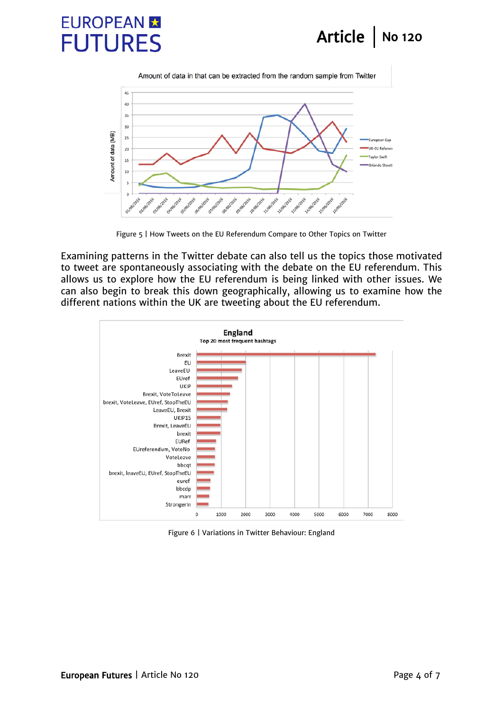### Article | No 120

# **EUROPEAN R FUTURES**



Figure 5 | How Tweets on the EU Referendum Compare to Other Topics on Twitter

Examining patterns in the Twitter debate can also tell us the topics those motivated to tweet are spontaneously associating with the debate on the EU referendum. This allows us to explore how the EU referendum is being linked with other issues. We can also begin to break this down geographically, allowing us to examine how the different nations within the UK are tweeting about the EU referendum.



Figure 6 | Variations in Twitter Behaviour: England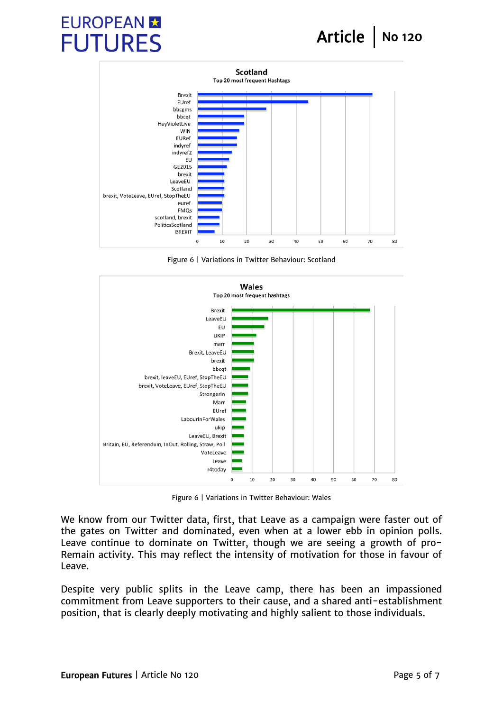# **EUROPEAN M FUTURES**



Figure 6 | Variations in Twitter Behaviour: Scotland



Figure 6 | Variations in Twitter Behaviour: Wales

We know from our Twitter data, first, that Leave as a campaign were faster out of the gates on Twitter and dominated, even when at a lower ebb in opinion polls. Leave continue to dominate on Twitter, though we are seeing a growth of pro-Remain activity. This may reflect the intensity of motivation for those in favour of Leave.

Despite very public splits in the Leave camp, there has been an impassioned commitment from Leave supporters to their cause, and a shared anti-establishment position, that is clearly deeply motivating and highly salient to those individuals.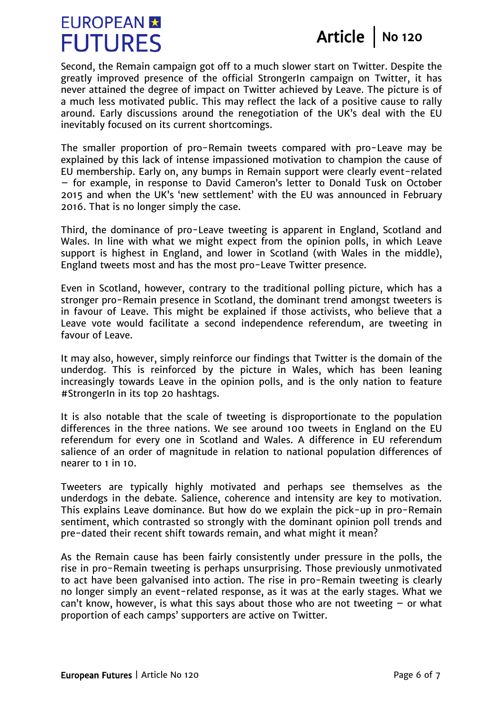## **EUROPEAN M FUTURES**

Article | No  $120$ 

Second, the Remain campaign got off to a much slower start on Twitter. Despite the greatly improved presence of the official StrongerIn campaign on Twitter, it has never attained the degree of impact on Twitter achieved by Leave. The picture is of a much less motivated public. This may reflect the lack of a positive cause to rally around. Early discussions around the renegotiation of the UK's deal with the EU inevitably focused on its current shortcomings.

The smaller proportion of pro-Remain tweets compared with pro-Leave may be explained by this lack of intense impassioned motivation to champion the cause of EU membership. Early on, any bumps in Remain support were clearly event-related – for example, in response to David Cameron's letter to Donald Tusk on October 2015 and when the UK's 'new settlement' with the EU was announced in February 2016. That is no longer simply the case.

Third, the dominance of pro-Leave tweeting is apparent in England, Scotland and Wales. In line with what we might expect from the opinion polls, in which Leave support is highest in England, and lower in Scotland (with Wales in the middle), England tweets most and has the most pro-Leave Twitter presence.

Even in Scotland, however, contrary to the traditional polling picture, which has a stronger pro-Remain presence in Scotland, the dominant trend amongst tweeters is in favour of Leave. This might be explained if those activists, who believe that a Leave vote would facilitate a second independence referendum, are tweeting in favour of Leave.

It may also, however, simply reinforce our findings that Twitter is the domain of the underdog. This is reinforced by the picture in Wales, which has been leaning increasingly towards Leave in the opinion polls, and is the only nation to feature #StrongerIn in its top 20 hashtags.

It is also notable that the scale of tweeting is disproportionate to the population differences in the three nations. We see around 100 tweets in England on the EU referendum for every one in Scotland and Wales. A difference in EU referendum salience of an order of magnitude in relation to national population differences of nearer to 1 in 10.

Tweeters are typically highly motivated and perhaps see themselves as the underdogs in the debate. Salience, coherence and intensity are key to motivation. This explains Leave dominance. But how do we explain the pick-up in pro-Remain sentiment, which contrasted so strongly with the dominant opinion poll trends and pre-dated their recent shift towards remain, and what might it mean?

As the Remain cause has been fairly consistently under pressure in the polls, the rise in pro-Remain tweeting is perhaps unsurprising. Those previously unmotivated to act have been galvanised into action. The rise in pro-Remain tweeting is clearly no longer simply an event-related response, as it was at the early stages. What we can't know, however, is what this says about those who are not tweeting  $-$  or what proportion of each camps' supporters are active on Twitter.